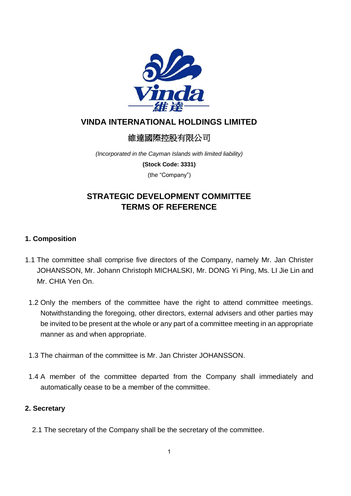

## **VINDA INTERNATIONAL HOLDINGS LIMITED**

# 維達國際控股有限公司

*(Incorporated in the Cayman Islands with limited liability)*

**(Stock Code: 3331)**

(the "Company")

# **STRATEGIC DEVELOPMENT COMMITTEE TERMS OF REFERENCE**

## **1. Composition**

- 1.1 The committee shall comprise five directors of the Company, namely Mr. Jan Christer JOHANSSON, Mr. Johann Christoph MICHALSKI, Mr. DONG Yi Ping, Ms. LI Jie Lin and Mr. CHIA Yen On.
	- 1.2 Only the members of the committee have the right to attend committee meetings. Notwithstanding the foregoing, other directors, external advisers and other parties may be invited to be present at the whole or any part of a committee meeting in an appropriate manner as and when appropriate.
	- 1.3 The chairman of the committee is Mr. Jan Christer JOHANSSON.
	- 1.4 A member of the committee departed from the Company shall immediately and automatically cease to be a member of the committee.

#### **2. Secretary**

2.1 The secretary of the Company shall be the secretary of the committee.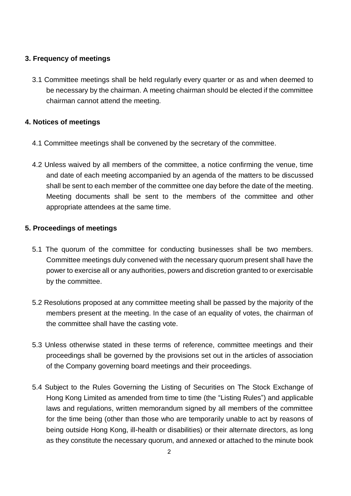### **3. Frequency of meetings**

3.1 Committee meetings shall be held regularly every quarter or as and when deemed to be necessary by the chairman. A meeting chairman should be elected if the committee chairman cannot attend the meeting.

### **4. Notices of meetings**

- 4.1 Committee meetings shall be convened by the secretary of the committee.
- 4.2 Unless waived by all members of the committee, a notice confirming the venue, time and date of each meeting accompanied by an agenda of the matters to be discussed shall be sent to each member of the committee one day before the date of the meeting. Meeting documents shall be sent to the members of the committee and other appropriate attendees at the same time.

### **5. Proceedings of meetings**

- 5.1 The quorum of the committee for conducting businesses shall be two members. Committee meetings duly convened with the necessary quorum present shall have the power to exercise all or any authorities, powers and discretion granted to or exercisable by the committee.
- 5.2 Resolutions proposed at any committee meeting shall be passed by the majority of the members present at the meeting. In the case of an equality of votes, the chairman of the committee shall have the casting vote.
- 5.3 Unless otherwise stated in these terms of reference, committee meetings and their proceedings shall be governed by the provisions set out in the articles of association of the Company governing board meetings and their proceedings.
- 5.4 Subject to the Rules Governing the Listing of Securities on The Stock Exchange of Hong Kong Limited as amended from time to time (the "Listing Rules") and applicable laws and regulations, written memorandum signed by all members of the committee for the time being (other than those who are temporarily unable to act by reasons of being outside Hong Kong, ill-health or disabilities) or their alternate directors, as long as they constitute the necessary quorum, and annexed or attached to the minute book